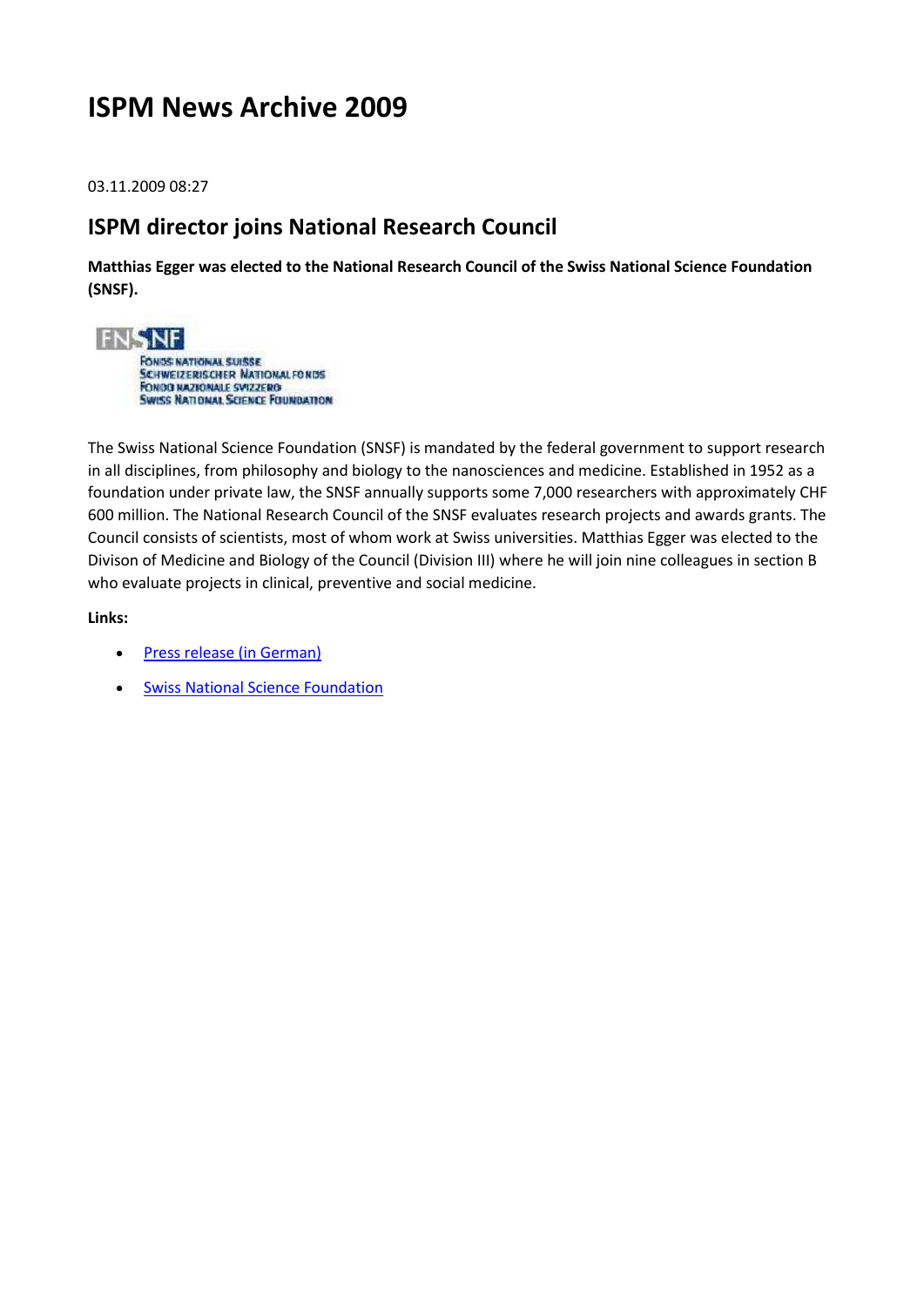# **ISPM News Archive 2009**

03.11.2009 08:27

## **ISPM director joins National Research Council**

**Matthias Egger was elected to the National Research Council of the Swiss National Science Foundation (SNSF).**



The Swiss National Science Foundation (SNSF) is mandated by the federal government to support research in all disciplines, from philosophy and biology to the nanosciences and medicine. Established in 1952 as a foundation under private law, the SNSF annually supports some 7,000 researchers with approximately CHF 600 million. The National Research Council of the SNSF evaluates research projects and awards grants. The Council consists of scientists, most of whom work at Swiss universities. Matthias Egger was elected to the Divison of Medicine and Biology of the Council (Division III) where he will join nine colleagues in section B who evaluate projects in clinical, preventive and social medicine.

- [Press release \(in German\)](http://www.snf.ch/d/aktuell/snfinfo/personelles/Seiten/default.aspx?NEWSID=1307&WEBID=22739AD6-FC54-4EC7-8825-3B708058CE3E)
- **Swiss National Science Foundation**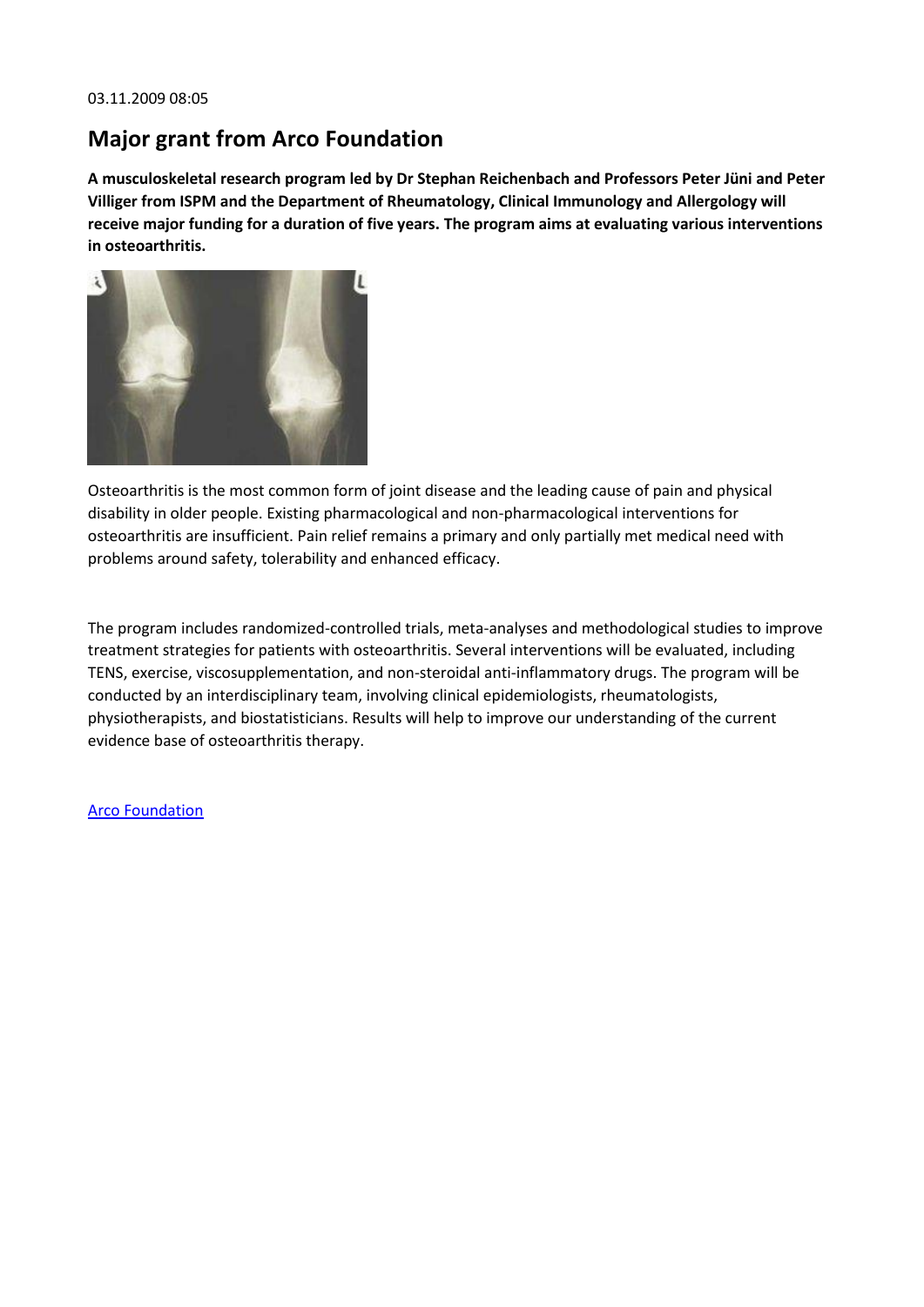## **Major grant from Arco Foundation**

**A musculoskeletal research program led by Dr Stephan Reichenbach and Professors Peter Jüni and Peter Villiger from ISPM and the Department of Rheumatology, Clinical Immunology and Allergology will receive major funding for a duration of five years. The program aims at evaluating various interventions in osteoarthritis.**



Osteoarthritis is the most common form of joint disease and the leading cause of pain and physical disability in older people. Existing pharmacological and non-pharmacological interventions for osteoarthritis are insufficient. Pain relief remains a primary and only partially met medical need with problems around safety, tolerability and enhanced efficacy.

The program includes randomized-controlled trials, meta-analyses and methodological studies to improve treatment strategies for patients with osteoarthritis. Several interventions will be evaluated, including TENS, exercise, viscosupplementation, and non-steroidal anti-inflammatory drugs. The program will be conducted by an interdisciplinary team, involving clinical epidemiologists, rheumatologists, physiotherapists, and biostatisticians. Results will help to improve our understanding of the current evidence base of osteoarthritis therapy.

#### [Arco Foundation](http://www.arco-foundation.ch/)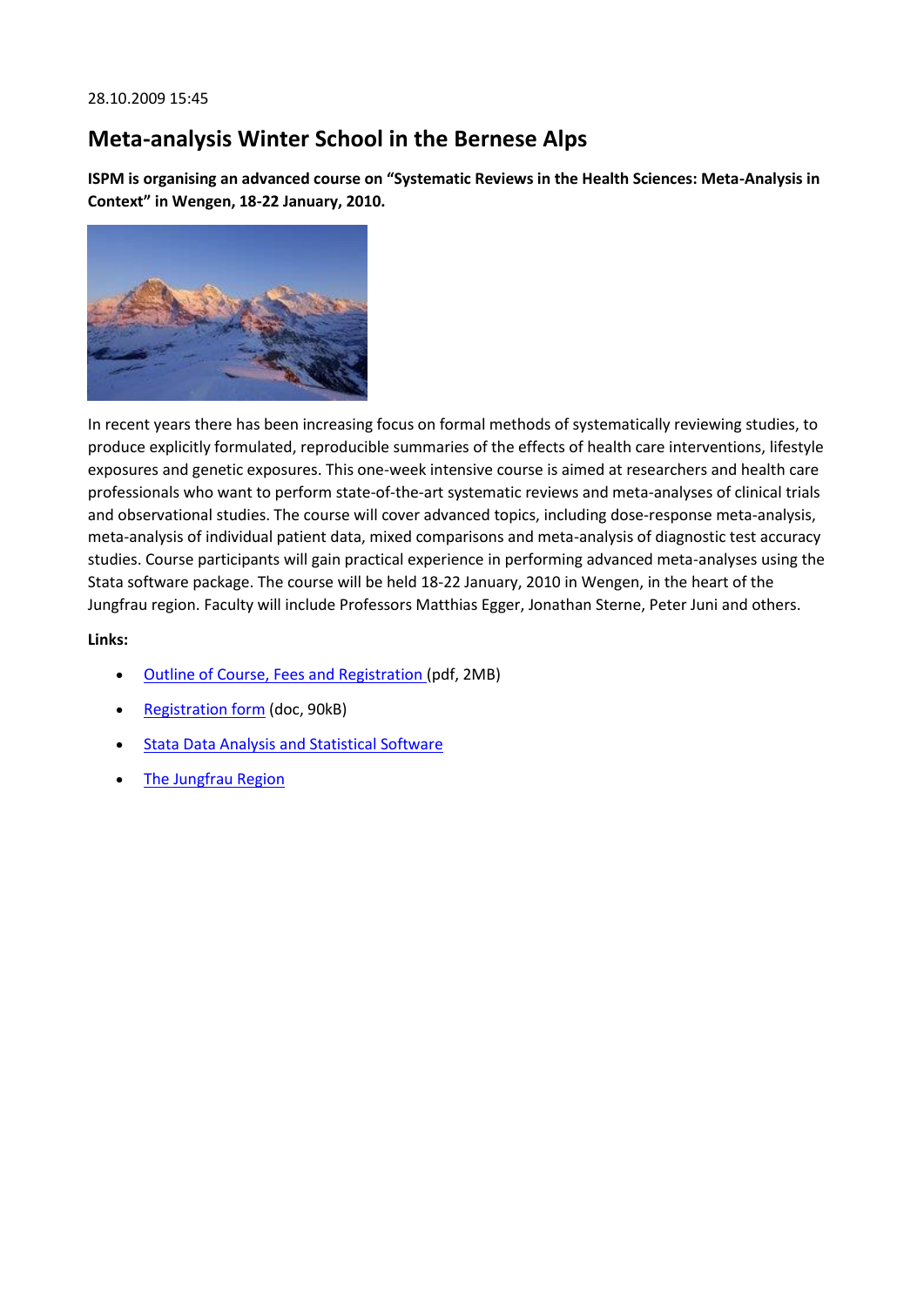## **Meta-analysis Winter School in the Bernese Alps**

**ISPM is organising an advanced course on "Systematic Reviews in the Health Sciences: Meta-Analysis in Context" in Wengen, 18-22 January, 2010.**



In recent years there has been increasing focus on formal methods of systematically reviewing studies, to produce explicitly formulated, reproducible summaries of the effects of health care interventions, lifestyle exposures and genetic exposures. This one-week intensive course is aimed at researchers and health care professionals who want to perform state-of-the-art systematic reviews and meta-analyses of clinical trials and observational studies. The course will cover advanced topics, including dose-response meta-analysis, meta-analysis of individual patient data, mixed comparisons and meta-analysis of diagnostic test accuracy studies. Course participants will gain practical experience in performing advanced meta-analyses using the Stata software package. The course will be held 18-22 January, 2010 in Wengen, in the heart of the Jungfrau region. Faculty will include Professors Matthias Egger, Jonathan Sterne, Peter Juni and others.

- [Outline of Course, Fees and Registration \(](http://www.ispm.ch/fileadmin/doc_download/News/News_0910_Wengen_Course_leaflet.pdf)pdf, 2MB)
- [Registration form](http://www.ispm.ch/fileadmin/doc_download/News/News_0910_WinterSchool.doc) (doc, 90kB)
- [Stata Data Analysis and Statistical Software](http://www.stata.com/)
- [The Jungfrau Region](http://www.myjungfrau.ch/)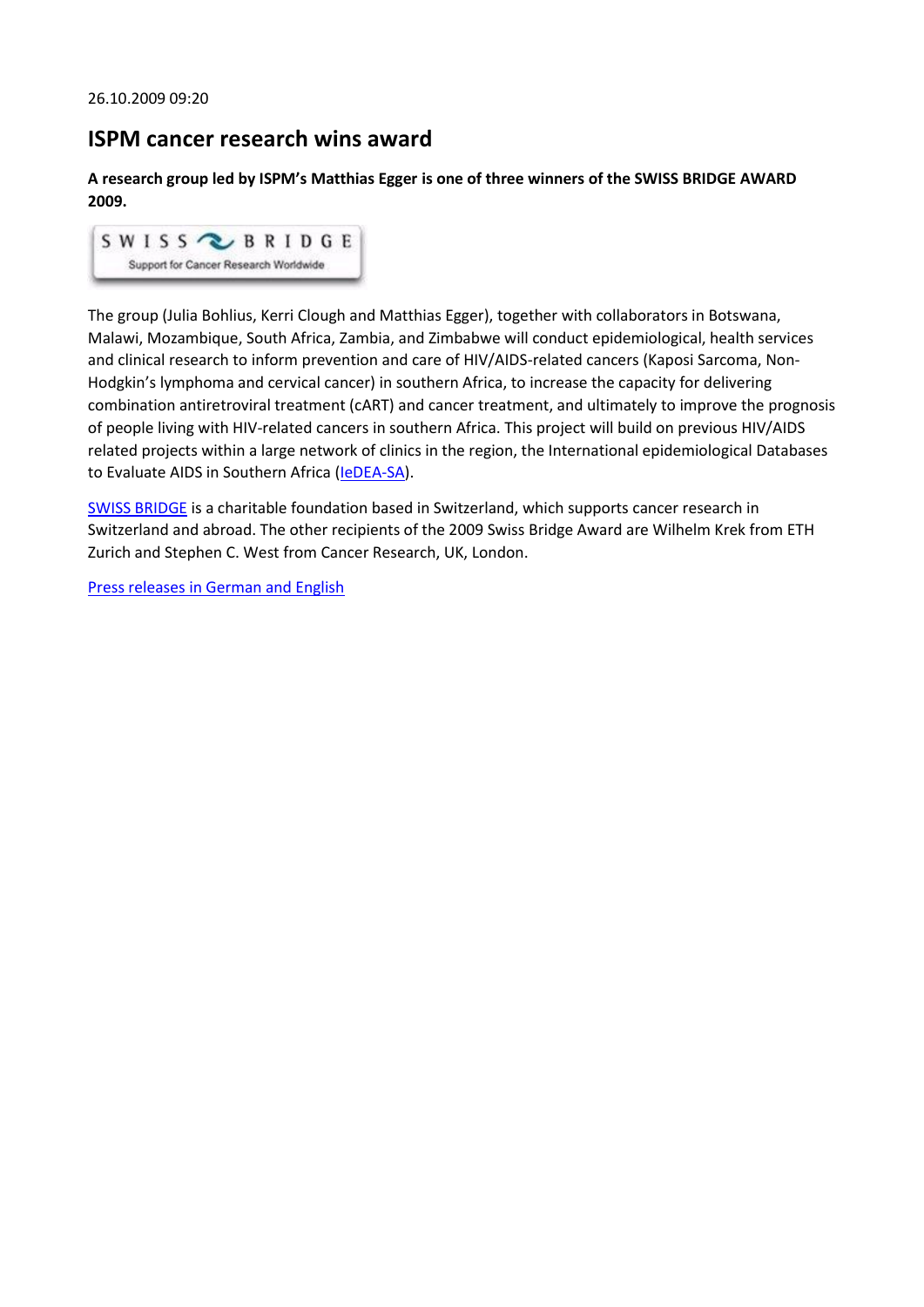### **ISPM cancer research wins award**

**A research group led by ISPM's Matthias Egger is one of three winners of the SWISS BRIDGE AWARD 2009.**



The group (Julia Bohlius, Kerri Clough and Matthias Egger), together with collaborators in Botswana, Malawi, Mozambique, South Africa, Zambia, and Zimbabwe will conduct epidemiological, health services and clinical research to inform prevention and care of HIV/AIDS-related cancers (Kaposi Sarcoma, Non-Hodgkin's lymphoma and cervical cancer) in southern Africa, to increase the capacity for delivering combination antiretroviral treatment (cART) and cancer treatment, and ultimately to improve the prognosis of people living with HIV-related cancers in southern Africa. This project will build on previous HIV/AIDS related projects within a large network of clinics in the region, the International epidemiological Databases to Evaluate AIDS in Southern Africa [\(IeDEA-SA\)](http://www.iedea-sa.org/).

[SWISS BRIDGE](http://www.swissbridge.ch/) is a charitable foundation based in Switzerland, which supports cancer research in Switzerland and abroad. The other recipients of the 2009 Swiss Bridge Award are Wilhelm Krek from ETH Zurich and Stephen C. West from Cancer Research, UK, London.

[Press releases in German and English](http://www.krebsliga.ch/de/fachleute/forschende/forschungspreise/swiss_bridge_award/index.cfm)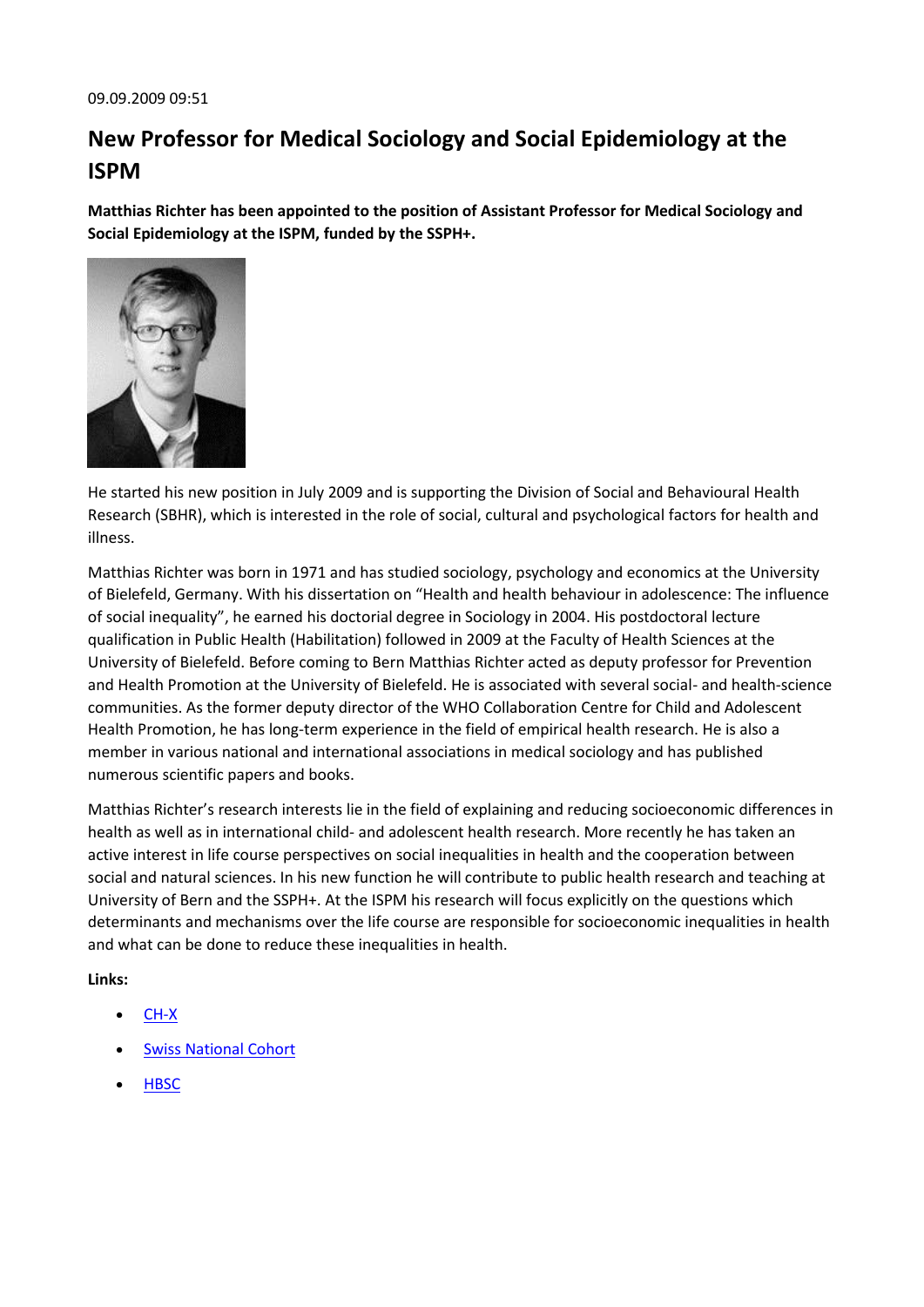# **New Professor for Medical Sociology and Social Epidemiology at the ISPM**

**Matthias Richter has been appointed to the position of Assistant Professor for Medical Sociology and Social Epidemiology at the ISPM, funded by the SSPH+.**



He started his new position in July 2009 and is supporting the Division of Social and Behavioural Health Research (SBHR), which is interested in the role of social, cultural and psychological factors for health and illness.

Matthias Richter was born in 1971 and has studied sociology, psychology and economics at the University of Bielefeld, Germany. With his dissertation on "Health and health behaviour in adolescence: The influence of social inequality", he earned his doctorial degree in Sociology in 2004. His postdoctoral lecture qualification in Public Health (Habilitation) followed in 2009 at the Faculty of Health Sciences at the University of Bielefeld. Before coming to Bern Matthias Richter acted as deputy professor for Prevention and Health Promotion at the University of Bielefeld. He is associated with several social- and health-science communities. As the former deputy director of the WHO Collaboration Centre for Child and Adolescent Health Promotion, he has long-term experience in the field of empirical health research. He is also a member in various national and international associations in medical sociology and has published numerous scientific papers and books.

Matthias Richter's research interests lie in the field of explaining and reducing socioeconomic differences in health as well as in international child- and adolescent health research. More recently he has taken an active interest in life course perspectives on social inequalities in health and the cooperation between social and natural sciences. In his new function he will contribute to public health research and teaching at University of Bern and the SSPH+. At the ISPM his research will focus explicitly on the questions which determinants and mechanisms over the life course are responsible for socioeconomic inequalities in health and what can be done to reduce these inequalities in health.

- [CH-X](http://www.chx.ch/)
- [Swiss National Cohort](http://www.ispm.ch/snc.html)
- **[HBSC](http://www.hbsc.org/)**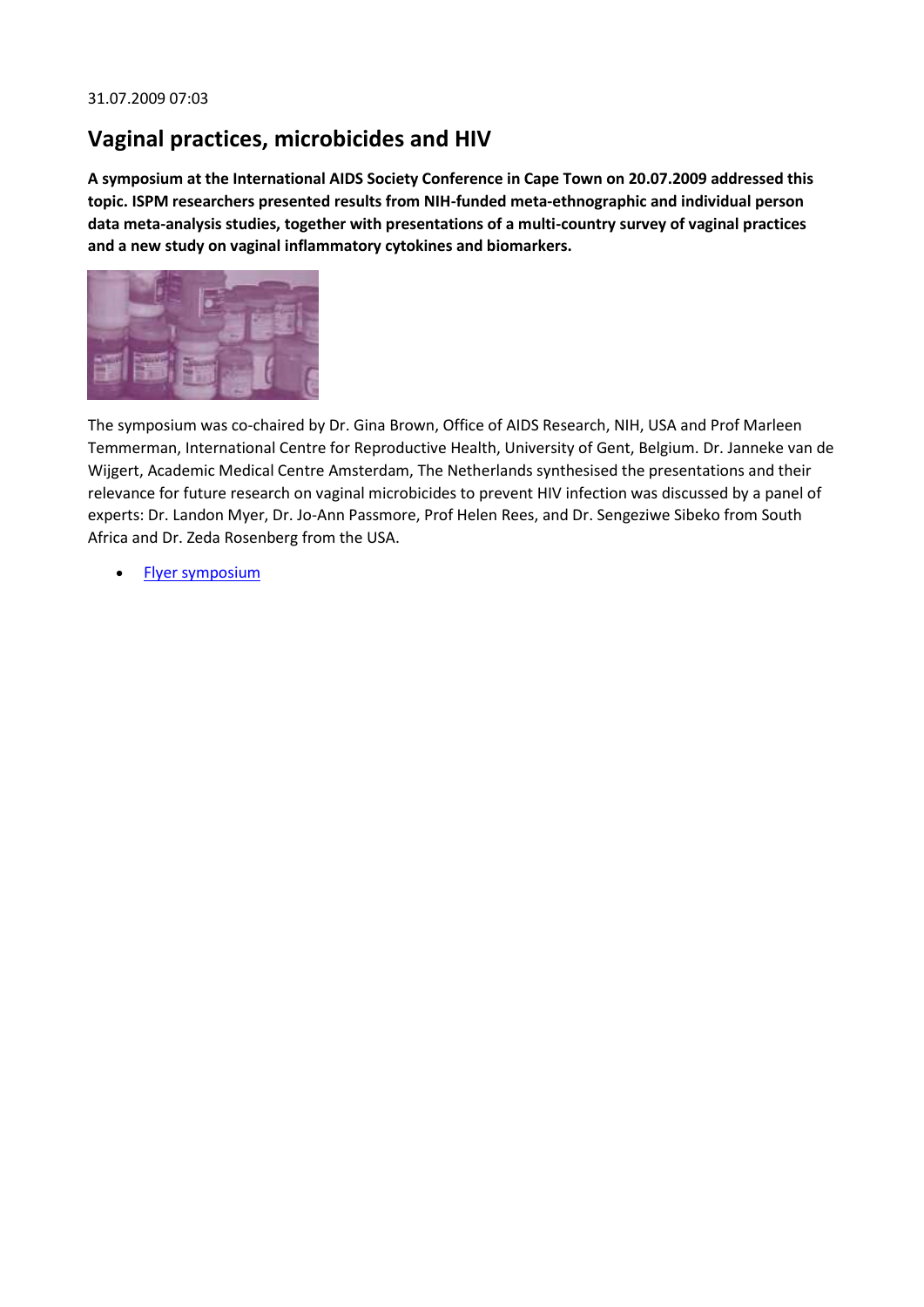## **Vaginal practices, microbicides and HIV**

**A symposium at the International AIDS Society Conference in Cape Town on 20.07.2009 addressed this topic. ISPM researchers presented results from NIH-funded meta-ethnographic and individual person data meta-analysis studies, together with presentations of a multi-country survey of vaginal practices and a new study on vaginal inflammatory cytokines and biomarkers.**



The symposium was co-chaired by Dr. Gina Brown, Office of AIDS Research, NIH, USA and Prof Marleen Temmerman, International Centre for Reproductive Health, University of Gent, Belgium. Dr. Janneke van de Wijgert, Academic Medical Centre Amsterdam, The Netherlands synthesised the presentations and their relevance for future research on vaginal microbicides to prevent HIV infection was discussed by a panel of experts: Dr. Landon Myer, Dr. Jo-Ann Passmore, Prof Helen Rees, and Dr. Sengeziwe Sibeko from South Africa and Dr. Zeda Rosenberg from the USA.

• [Flyer symposium](http://www.ispm.ch/fileadmin/doc_download/News/News_0907_VaginalPractices.pdf)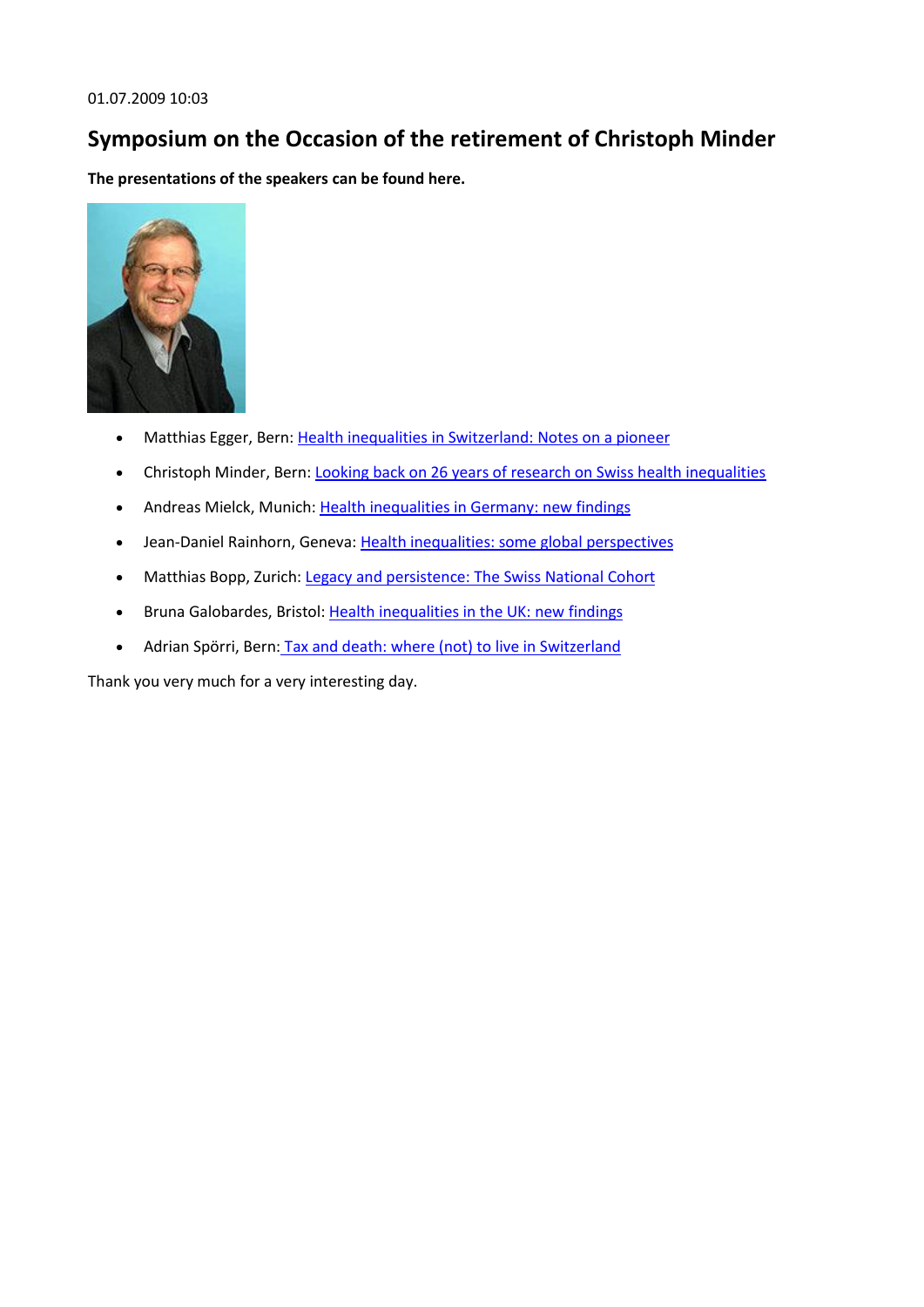## **Symposium on the Occasion of the retirement of Christoph Minder**

**The presentations of the speakers can be found here.**



- Matthias Egger, Bern: [Health inequalities in Switzerland: Notes on a pioneer](http://www.ispm.ch/fileadmin/doc_download/News/News_0906_Matthias_Egger.pdf)
- Christoph Minder, Bern: [Looking back on 26 years of research on Swiss health inequalities](http://www.ispm.ch/fileadmin/doc_download/News/News_0906_Minder_Christoph_Symposium.pdf)
- Andreas Mielck, Munich: [Health inequalities in Germany: new findings](http://www.ispm.ch/fileadmin/doc_download/News/News_0906_Mielck_Andreas_Symposium_Minder_2009.pdf)
- Jean-Daniel Rainhorn, Geneva: [Health inequalities: some global perspectives](http://www.ispm.ch/fileadmin/doc_download/News/News_0906_Rainhorn_JD_Cannibale.Berne.v3.pdf)
- Matthias Bopp, Zurich: [Legacy and persistence: The Swiss National Cohort](http://www.ispm.ch/fileadmin/doc_download/News/News_0906_Bopp_Matthias_Minder_Memorial2009a.pdf)
- Bruna Galobardes, Bristol: [Health inequalities in the UK: new findings](http://www.ispm.ch/fileadmin/doc_download/News/News_0906_galobardes_wealthier_and_taller_Minder2009.pdf)
- Adrian Spörri, Bern: [Tax and death: where \(not\) to live in Switzerland](http://www.ispm.ch/fileadmin/doc_download/News/News_0906_Spoerri_Adrian_symposium_minder_090625.pdf)

Thank you very much for a very interesting day.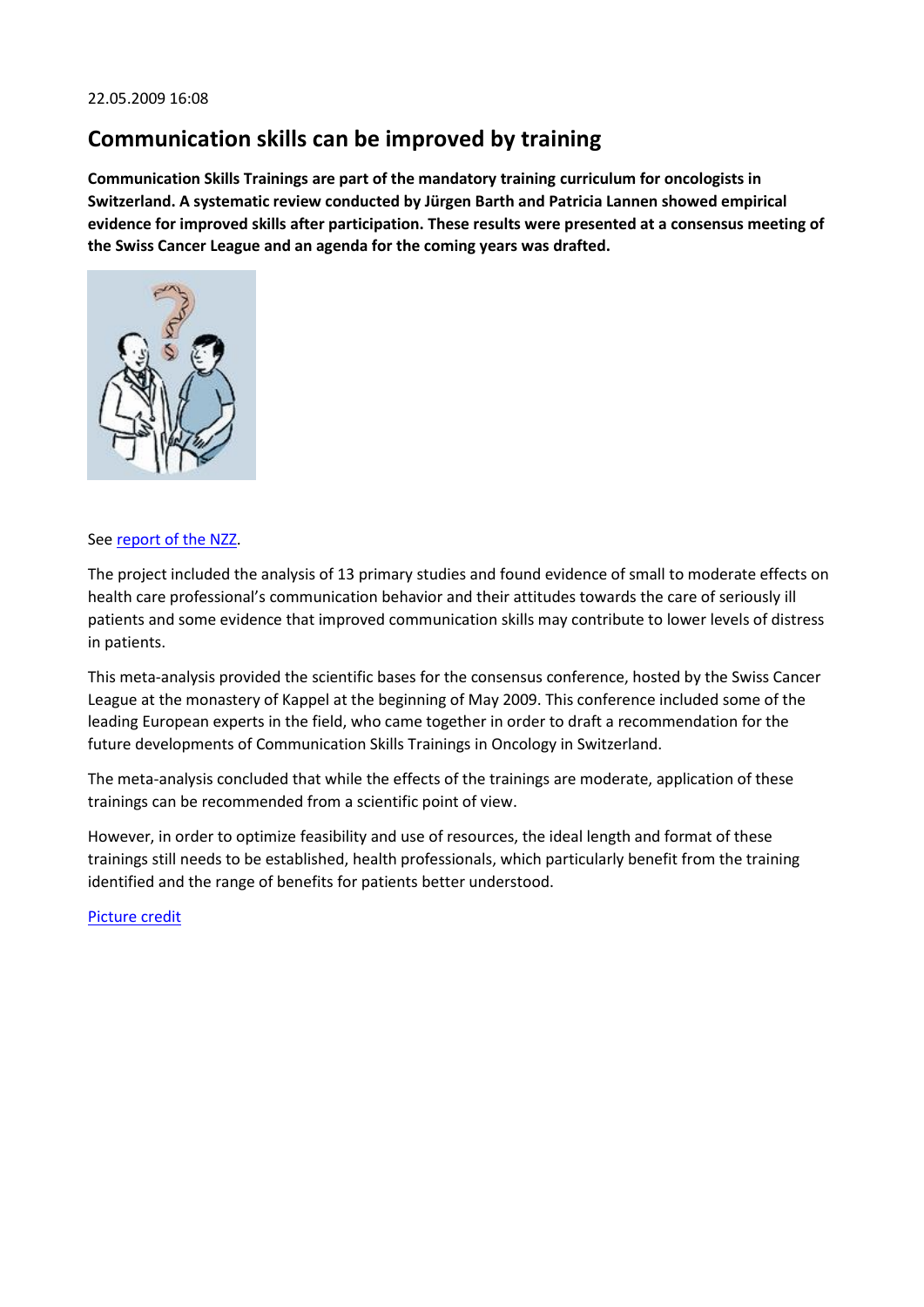### **Communication skills can be improved by training**

**Communication Skills Trainings are part of the mandatory training curriculum for oncologists in Switzerland. A systematic review conducted by Jürgen Barth and Patricia Lannen showed empirical evidence for improved skills after participation. These results were presented at a consensus meeting of the Swiss Cancer League and an agenda for the coming years was drafted.**



#### See [report of the NZZ.](http://www.nzz.ch/nachrichten/forschung_und_technik/wie_sag_ichs_meinem_patienten_1.2545564.html)

The project included the analysis of 13 primary studies and found evidence of small to moderate effects on health care professional's communication behavior and their attitudes towards the care of seriously ill patients and some evidence that improved communication skills may contribute to lower levels of distress in patients.

This meta-analysis provided the scientific bases for the consensus conference, hosted by the Swiss Cancer League at the monastery of Kappel at the beginning of May 2009. This conference included some of the leading European experts in the field, who came together in order to draft a recommendation for the future developments of Communication Skills Trainings in Oncology in Switzerland.

The meta-analysis concluded that while the effects of the trainings are moderate, application of these trainings can be recommended from a scientific point of view.

However, in order to optimize feasibility and use of resources, the ideal length and format of these trainings still needs to be established, health professionals, which particularly benefit from the training identified and the range of benefits for patients better understood.

[Picture credit](http://www.hcplive.com/obtnlive/webexclusives/telling_terminal_patients)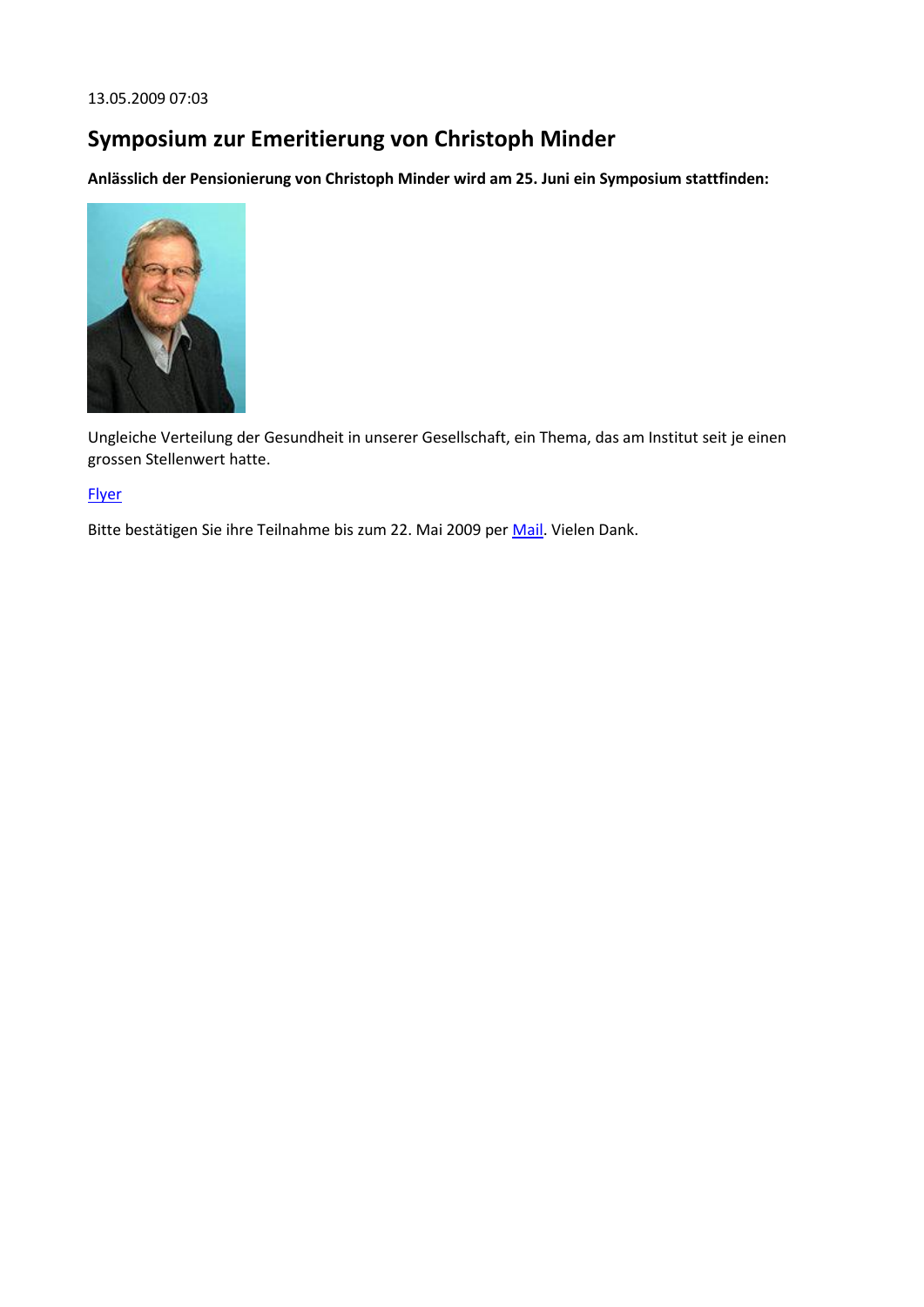13.05.2009 07:03

## **Symposium zur Emeritierung von Christoph Minder**

**Anlässlich der Pensionierung von Christoph Minder wird am 25. Juni ein Symposium stattfinden:**



Ungleiche Verteilung der Gesundheit in unserer Gesellschaft, ein Thema, das am Institut seit je einen grossen Stellenwert hatte.

#### **[Flyer](http://www.ispm.ch/fileadmin/doc_download/News/News_Symposium_Christoph_Minder_2009.pdf)**

Bitte bestätigen Sie ihre Teilnahme bis zum 22. Mai 2009 per [Mail.](javascript:linkTo_UnCryptMailto() Vielen Dank.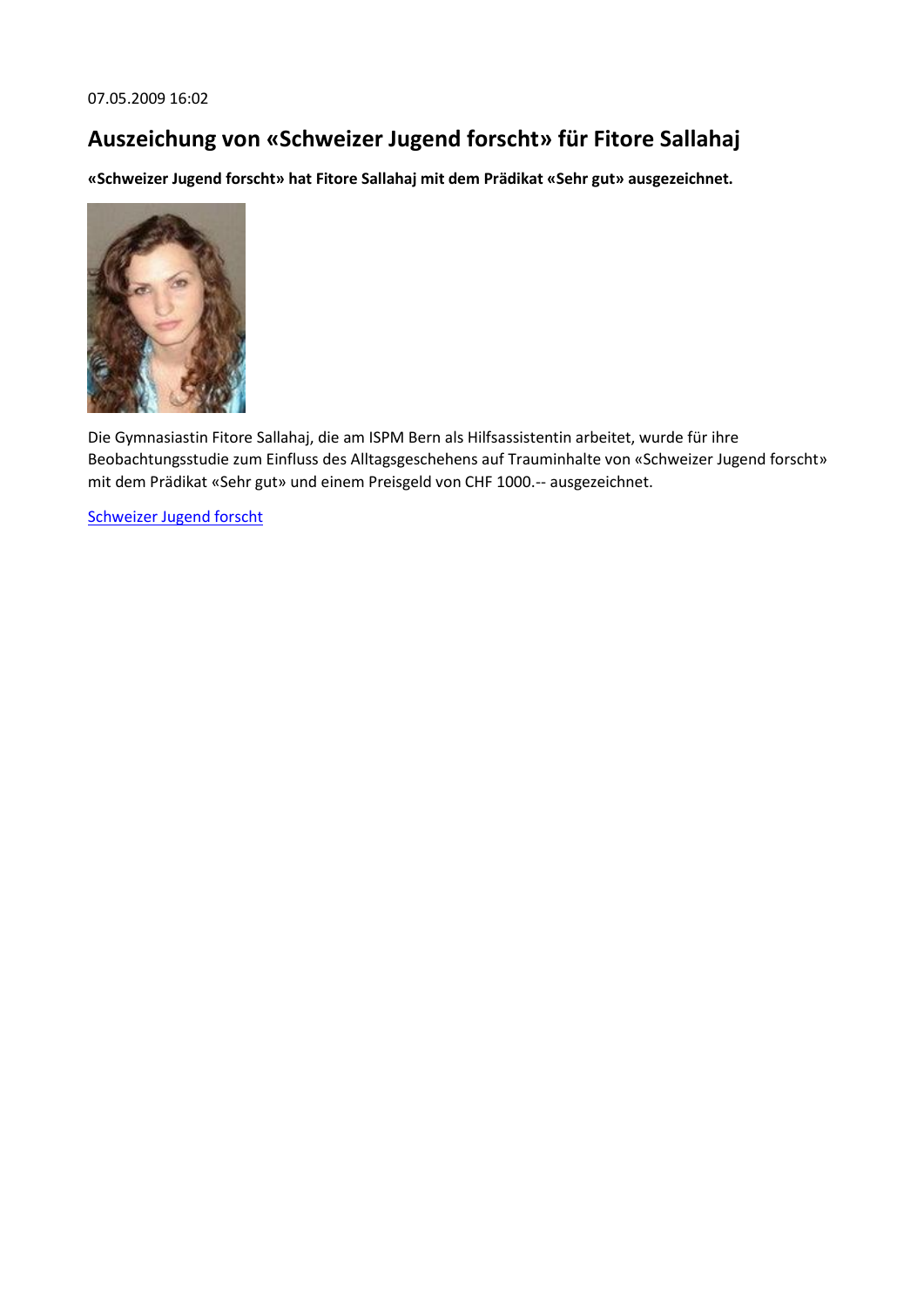## **Auszeichung von «Schweizer Jugend forscht» für Fitore Sallahaj**

**«Schweizer Jugend forscht» hat Fitore Sallahaj mit dem Prädikat «Sehr gut» ausgezeichnet.**



Die Gymnasiastin Fitore Sallahaj, die am ISPM Bern als Hilfsassistentin arbeitet, wurde für ihre Beobachtungsstudie zum Einfluss des Alltagsgeschehens auf Trauminhalte von «Schweizer Jugend forscht» mit dem Prädikat «Sehr gut» und einem Preisgeld von CHF 1000.-- ausgezeichnet.

[Schweizer Jugend forscht](http://www.sjf.ch/)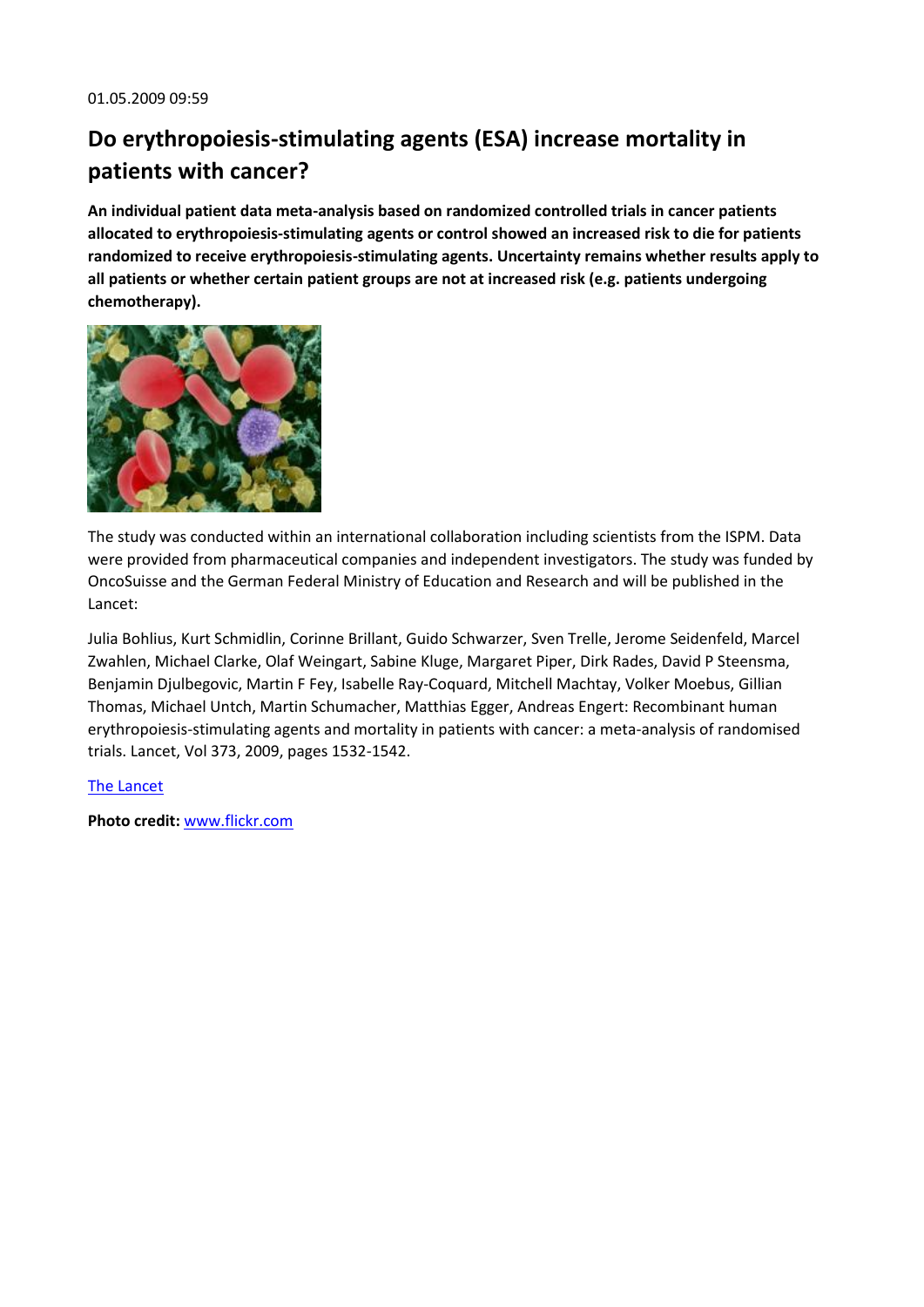# **Do erythropoiesis-stimulating agents (ESA) increase mortality in patients with cancer?**

**An individual patient data meta-analysis based on randomized controlled trials in cancer patients allocated to erythropoiesis-stimulating agents or control showed an increased risk to die for patients randomized to receive erythropoiesis-stimulating agents. Uncertainty remains whether results apply to all patients or whether certain patient groups are not at increased risk (e.g. patients undergoing chemotherapy).**



The study was conducted within an international collaboration including scientists from the ISPM. Data were provided from pharmaceutical companies and independent investigators. The study was funded by OncoSuisse and the German Federal Ministry of Education and Research and will be published in the Lancet:

Julia Bohlius, Kurt Schmidlin, Corinne Brillant, Guido Schwarzer, Sven Trelle, Jerome Seidenfeld, Marcel Zwahlen, Michael Clarke, Olaf Weingart, Sabine Kluge, Margaret Piper, Dirk Rades, David P Steensma, Benjamin Djulbegovic, Martin F Fey, Isabelle Ray-Coquard, Mitchell Machtay, Volker Moebus, Gillian Thomas, Michael Untch, Martin Schumacher, Matthias Egger, Andreas Engert: Recombinant human erythropoiesis-stimulating agents and mortality in patients with cancer: a meta-analysis of randomised trials. Lancet, Vol 373, 2009, pages 1532-1542.

#### [The Lancet](http://www.thelancet.com/journals/lancet/article/PIIS0140-6736%2809%2960502-X/fulltext)

**Photo credit:** [www.flickr.com](http://www.flickr.com/photos/11105137@N07/1044405648/)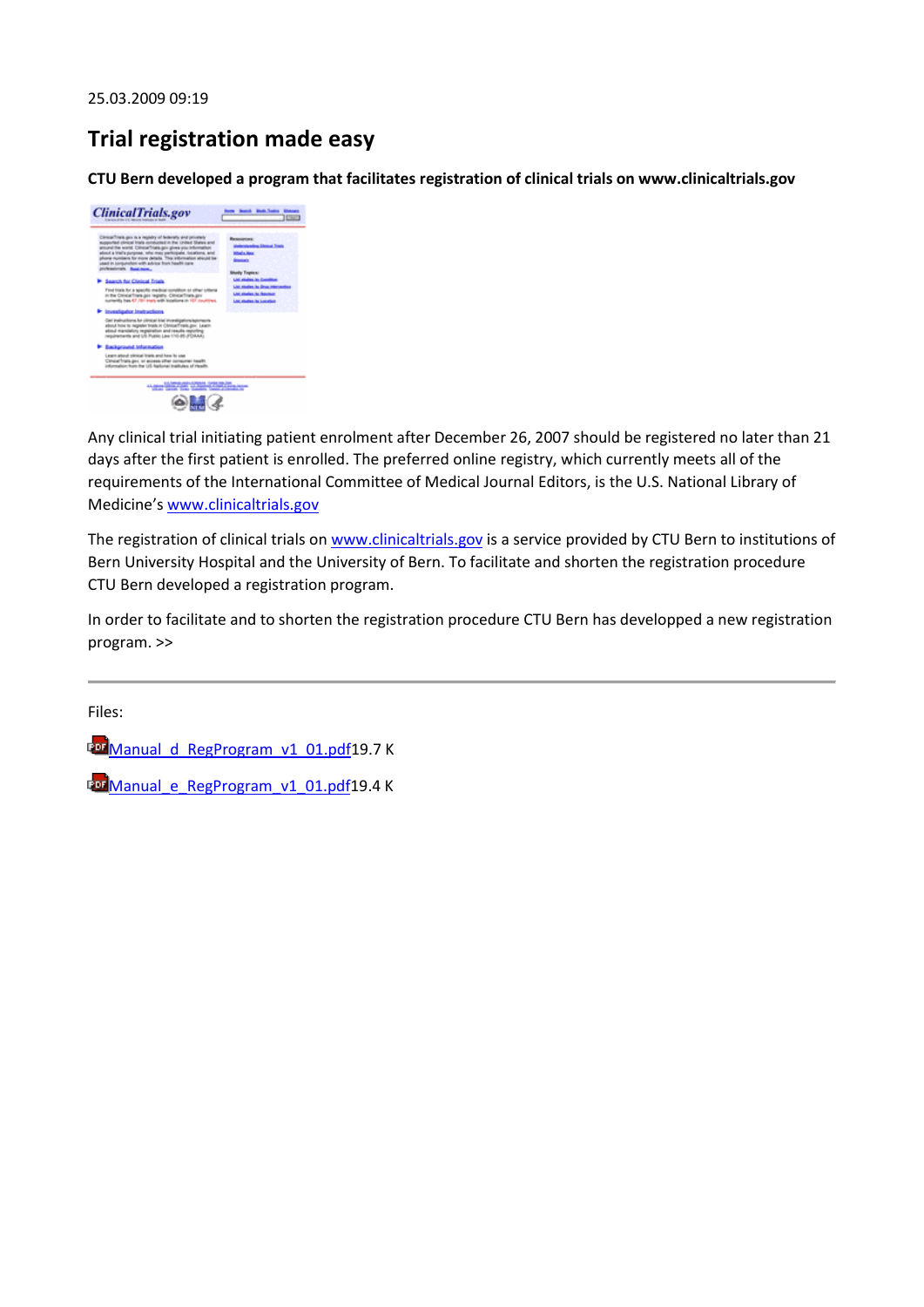## **Trial registration made easy**

**CTU Bern developed a program that facilitates registration of clinical trials on www.clinicaltrials.gov**



Any clinical trial initiating patient enrolment after December 26, 2007 should be registered no later than 21 days after the first patient is enrolled. The preferred online registry, which currently meets all of the requirements of the International Committee of Medical Journal Editors, is the U.S. National Library of Medicine's [www.clinicaltrials.gov](http://www.clinicaltrials.gov/)

The registration of clinical trials on [www.clinicaltrials.gov](http://www.clinicaltrials.gov/) is a service provided by CTU Bern to institutions of Bern University Hospital and the University of Bern. To facilitate and shorten the registration procedure CTU Bern developed a registration program.

In order to facilitate and to shorten the registration procedure CTU Bern has developped a new registration program. >>

Files:

En Manual d RegProgram\_v1\_01.pdf19.7 K

**Eu Manual e RegProgram v1 01.pdf19.4 K**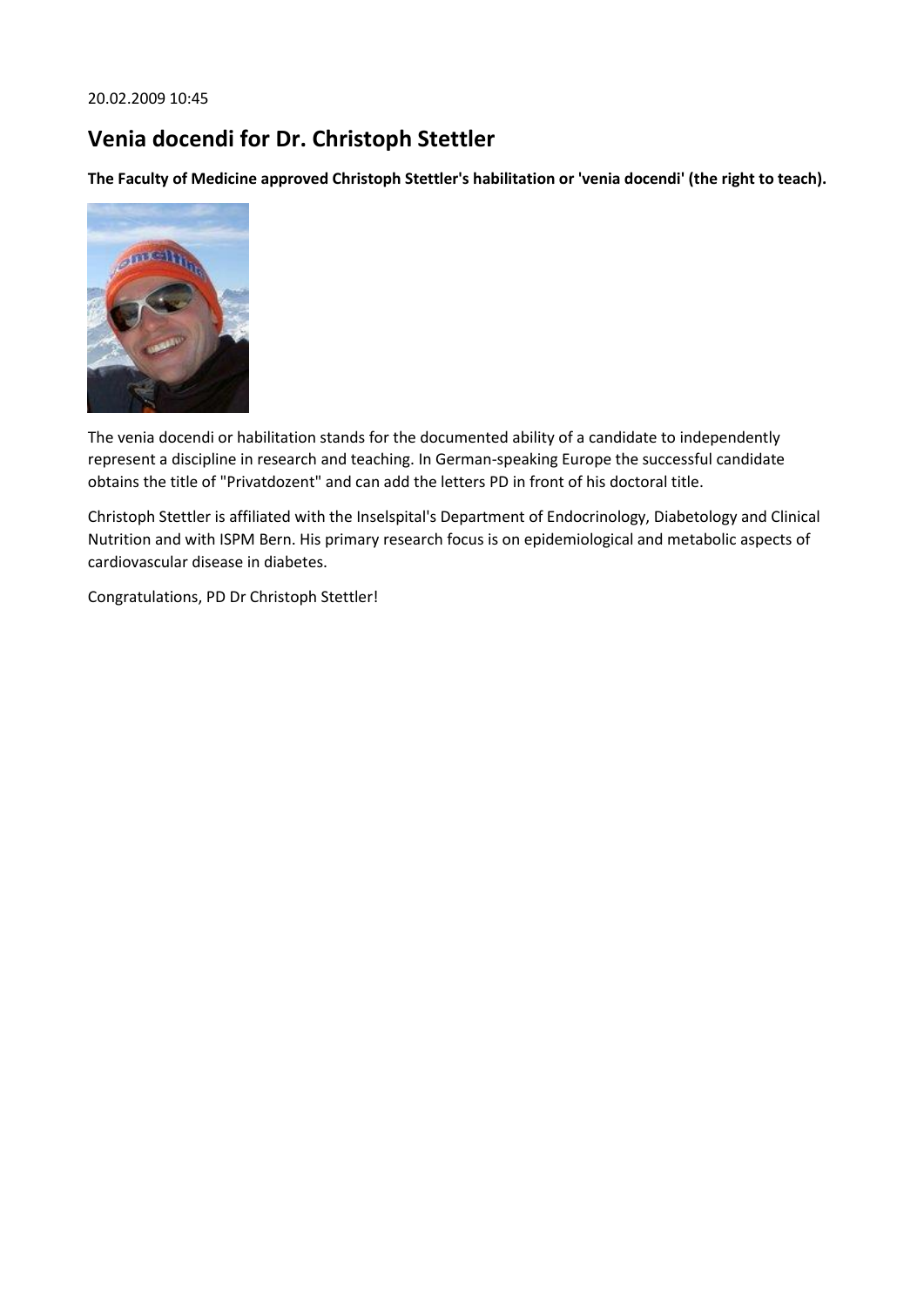#### 20.02.2009 10:45

# **Venia docendi for Dr. Christoph Stettler**

**The Faculty of Medicine approved Christoph Stettler's habilitation or 'venia docendi' (the right to teach).**



The venia docendi or habilitation stands for the documented ability of a candidate to independently represent a discipline in research and teaching. In German-speaking Europe the successful candidate obtains the title of "Privatdozent" and can add the letters PD in front of his doctoral title.

Christoph Stettler is affiliated with the Inselspital's Department of Endocrinology, Diabetology and Clinical Nutrition and with ISPM Bern. His primary research focus is on epidemiological and metabolic aspects of cardiovascular disease in diabetes.

Congratulations, PD Dr Christoph Stettler!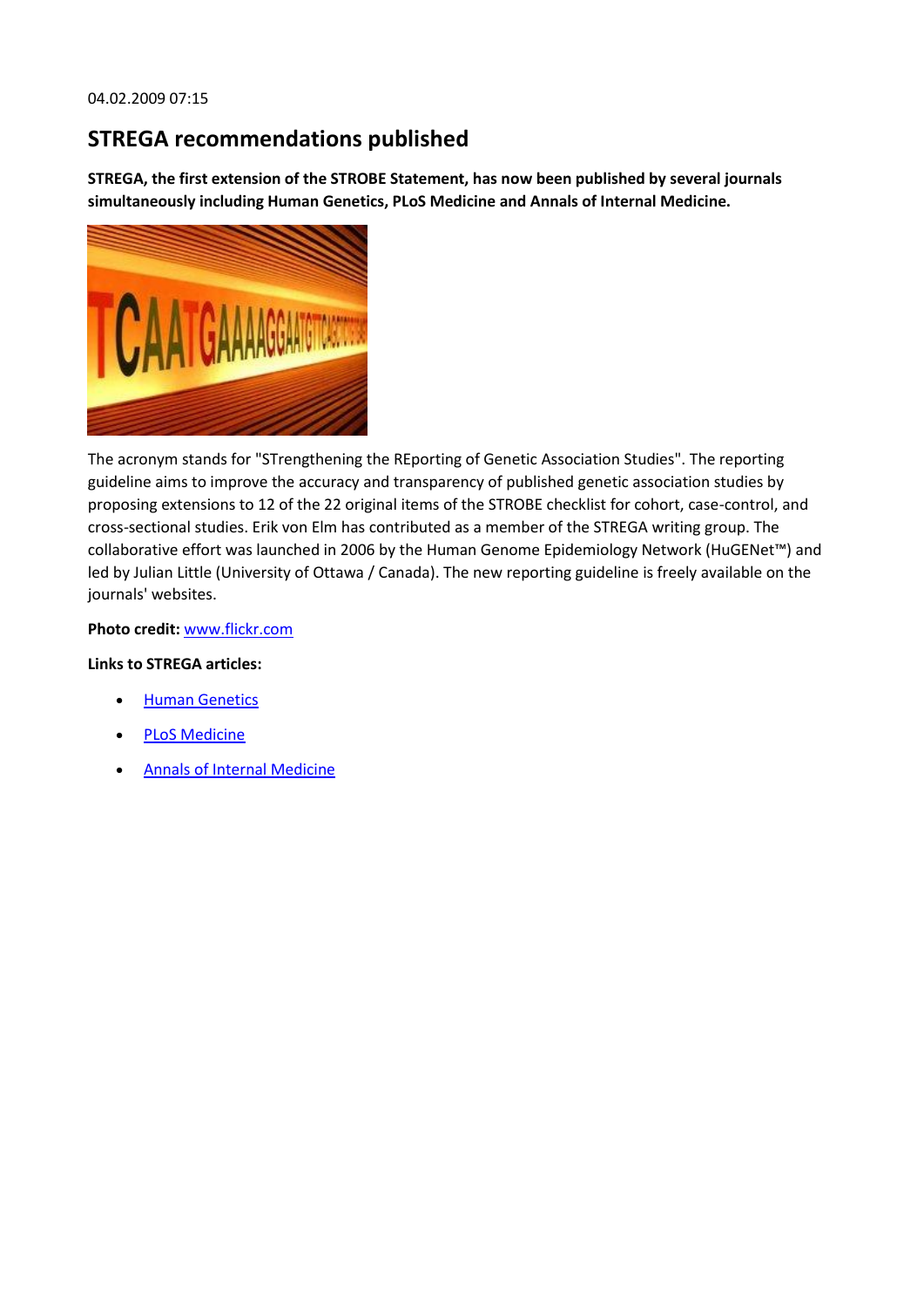## **STREGA recommendations published**

**STREGA, the first extension of the STROBE Statement, has now been published by several journals simultaneously including Human Genetics, PLoS Medicine and Annals of Internal Medicine.**



The acronym stands for "STrengthening the REporting of Genetic Association Studies". The reporting guideline aims to improve the accuracy and transparency of published genetic association studies by proposing extensions to 12 of the 22 original items of the STROBE checklist for cohort, case-control, and cross-sectional studies. Erik von Elm has contributed as a member of the STREGA writing group. The collaborative effort was launched in 2006 by the Human Genome Epidemiology Network (HuGENet™) and led by Julian Little (University of Ottawa / Canada). The new reporting guideline is freely available on the journals' websites.

**Photo credit:** [www.flickr.com](http://www.flickr.com/photos/netsrot/225836493/)

#### **Links to STREGA articles:**

- **•** Human Genetics
- [PLoS Medicine](http://medicine.plosjournals.org/perlserv/?request=get-document&doi=10.1371%2Fjournal.pmed.1000022&ct=1)
- [Annals of Internal Medicine](http://www.annals.org/cgi/content/full/150/3/206)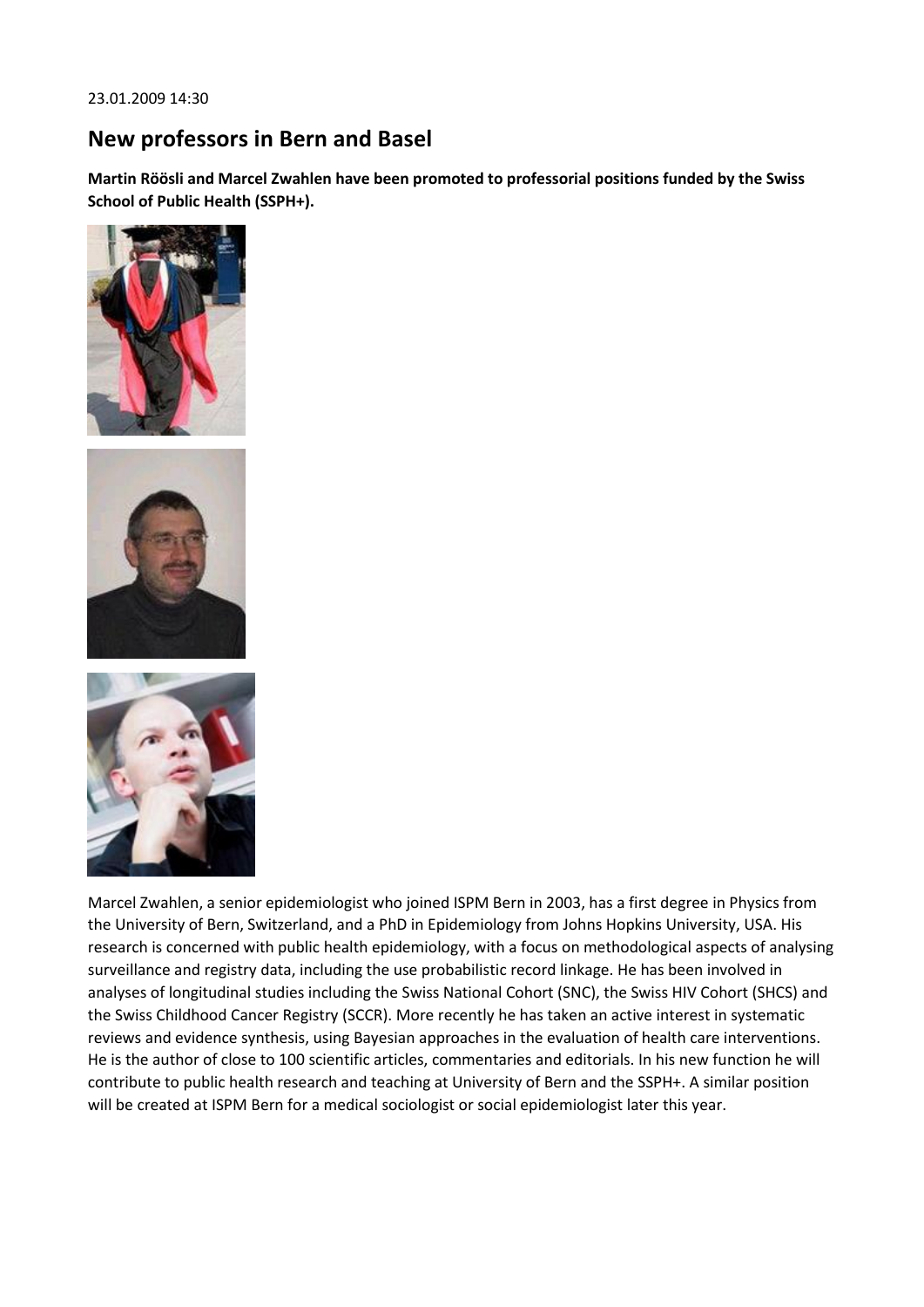## **New professors in Bern and Basel**

**Martin Röösli and Marcel Zwahlen have been promoted to professorial positions funded by the Swiss School of Public Health (SSPH+).**







Marcel Zwahlen, a senior epidemiologist who joined ISPM Bern in 2003, has a first degree in Physics from the University of Bern, Switzerland, and a PhD in Epidemiology from Johns Hopkins University, USA. His research is concerned with public health epidemiology, with a focus on methodological aspects of analysing surveillance and registry data, including the use probabilistic record linkage. He has been involved in analyses of longitudinal studies including the Swiss National Cohort (SNC), the Swiss HIV Cohort (SHCS) and the Swiss Childhood Cancer Registry (SCCR). More recently he has taken an active interest in systematic reviews and evidence synthesis, using Bayesian approaches in the evaluation of health care interventions. He is the author of close to 100 scientific articles, commentaries and editorials. In his new function he will contribute to public health research and teaching at University of Bern and the SSPH+. A similar position will be created at ISPM Bern for a medical sociologist or social epidemiologist later this year.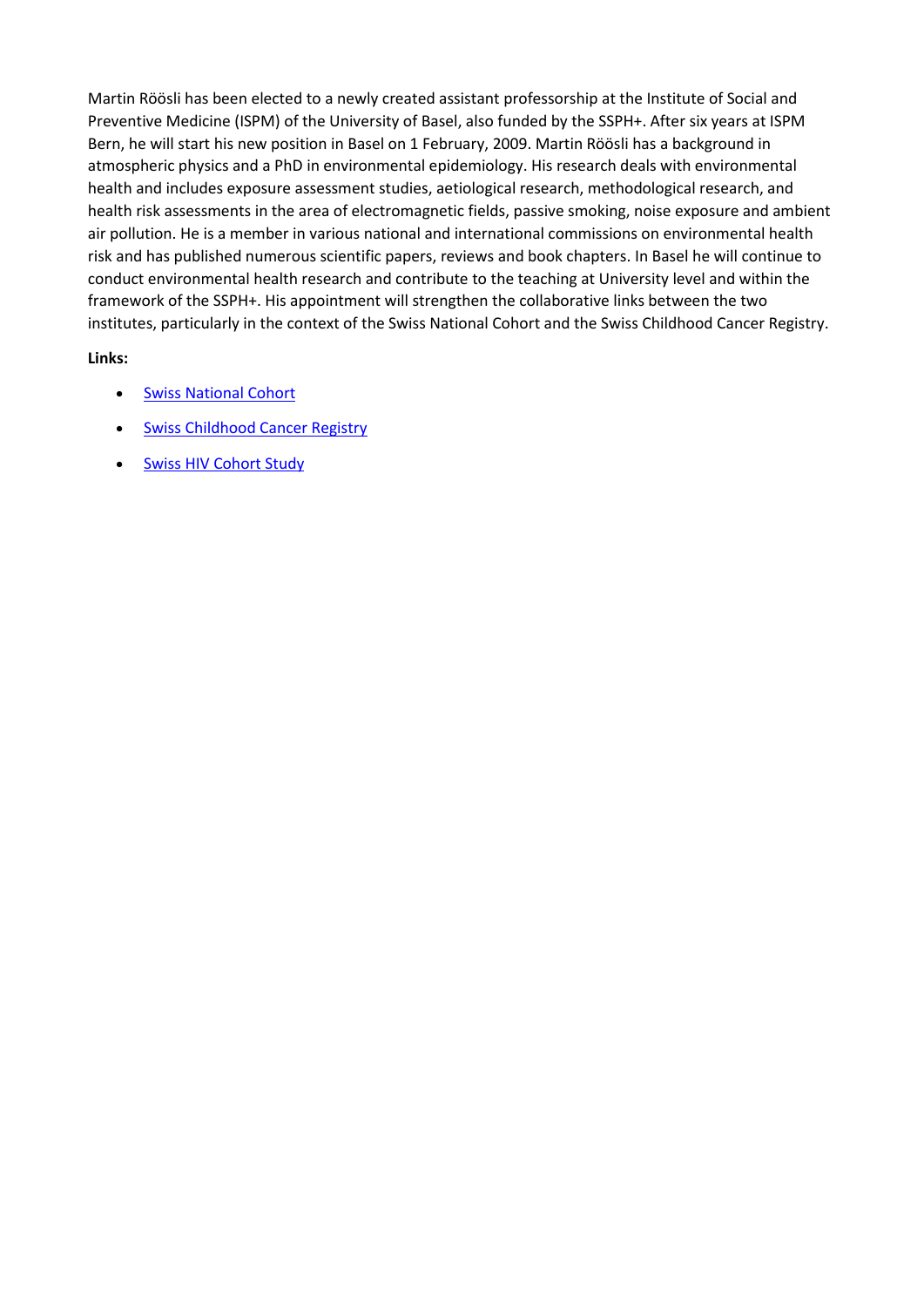Martin Röösli has been elected to a newly created assistant professorship at the Institute of Social and Preventive Medicine (ISPM) of the University of Basel, also funded by the SSPH+. After six years at ISPM Bern, he will start his new position in Basel on 1 February, 2009. Martin Röösli has a background in atmospheric physics and a PhD in environmental epidemiology. His research deals with environmental health and includes exposure assessment studies, aetiological research, methodological research, and health risk assessments in the area of electromagnetic fields, passive smoking, noise exposure and ambient air pollution. He is a member in various national and international commissions on environmental health risk and has published numerous scientific papers, reviews and book chapters. In Basel he will continue to conduct environmental health research and contribute to the teaching at University level and within the framework of the SSPH+. His appointment will strengthen the collaborative links between the two institutes, particularly in the context of the Swiss National Cohort and the Swiss Childhood Cancer Registry.

- **[Swiss National Cohort](http://www.swissnationalcohort.ch/)**
- **[Swiss Childhood Cancer Registry](http://www.childhoodcancerregistry.ch/)**
- **.** [Swiss HIV Cohort Study](http://www.shcs.ch/)